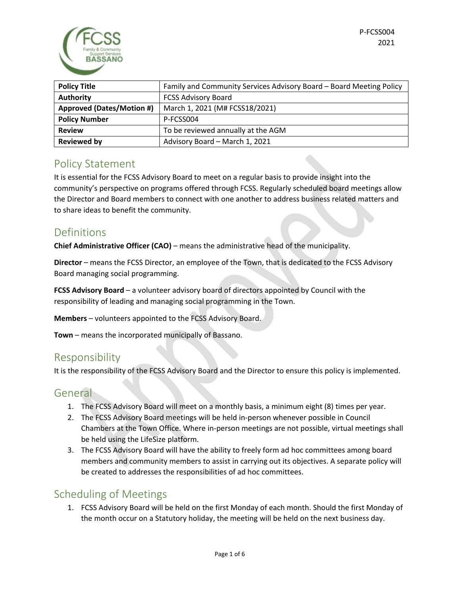

| <b>Policy Title</b>              | Family and Community Services Advisory Board - Board Meeting Policy |
|----------------------------------|---------------------------------------------------------------------|
| Authority                        | <b>FCSS Advisory Board</b>                                          |
| <b>Approved (Dates/Motion #)</b> | March 1, 2021 (M# FCSS18/2021)                                      |
| <b>Policy Number</b>             | P-FCSS004                                                           |
| <b>Review</b>                    | To be reviewed annually at the AGM                                  |
| <b>Reviewed by</b>               | Advisory Board - March 1, 2021                                      |

# Policy Statement

It is essential for the FCSS Advisory Board to meet on a regular basis to provide insight into the community's perspective on programs offered through FCSS. Regularly scheduled board meetings allow the Director and Board members to connect with one another to address business related matters and to share ideas to benefit the community.

# Definitions

**Chief Administrative Officer (CAO)** – means the administrative head of the municipality.

**Director** – means the FCSS Director, an employee of the Town, that is dedicated to the FCSS Advisory Board managing social programming.

**FCSS Advisory Board** – a volunteer advisory board of directors appointed by Council with the responsibility of leading and managing social programming in the Town.

**Members** – volunteers appointed to the FCSS Advisory Board.

**Town** – means the incorporated municipally of Bassano.

### Responsibility

It is the responsibility of the FCSS Advisory Board and the Director to ensure this policy is implemented.

### General

- 1. The FCSS Advisory Board will meet on a monthly basis, a minimum eight (8) times per year.
- 2. The FCSS Advisory Board meetings will be held in-person whenever possible in Council Chambers at the Town Office. Where in-person meetings are not possible, virtual meetings shall be held using the LifeSize platform.
- 3. The FCSS Advisory Board will have the ability to freely form ad hoc committees among board members and community members to assist in carrying out its objectives. A separate policy will be created to addresses the responsibilities of ad hoc committees.

# Scheduling of Meetings

1. FCSS Advisory Board will be held on the first Monday of each month. Should the first Monday of the month occur on a Statutory holiday, the meeting will be held on the next business day.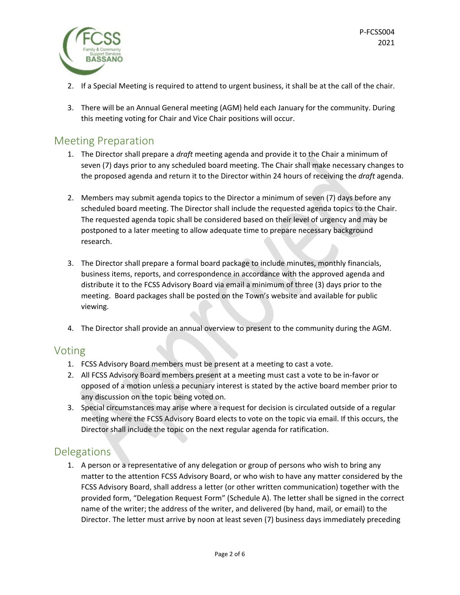

- 2. If a Special Meeting is required to attend to urgent business, it shall be at the call of the chair.
- 3. There will be an Annual General meeting (AGM) held each January for the community. During this meeting voting for Chair and Vice Chair positions will occur.

## Meeting Preparation

- 1. The Director shall prepare a *draft* meeting agenda and provide it to the Chair a minimum of seven (7) days prior to any scheduled board meeting. The Chair shall make necessary changes to the proposed agenda and return it to the Director within 24 hours of receiving the *draft* agenda.
- 2. Members may submit agenda topics to the Director a minimum of seven (7) days before any scheduled board meeting. The Director shall include the requested agenda topics to the Chair. The requested agenda topic shall be considered based on their level of urgency and may be postponed to a later meeting to allow adequate time to prepare necessary background research.
- 3. The Director shall prepare a formal board package to include minutes, monthly financials, business items, reports, and correspondence in accordance with the approved agenda and distribute it to the FCSS Advisory Board via email a minimum of three (3) days prior to the meeting. Board packages shall be posted on the Town's website and available for public viewing.
- 4. The Director shall provide an annual overview to present to the community during the AGM.

# Voting

- 1. FCSS Advisory Board members must be present at a meeting to cast a vote.
- 2. All FCSS Advisory Board members present at a meeting must cast a vote to be in-favor or opposed of a motion unless a pecuniary interest is stated by the active board member prior to any discussion on the topic being voted on.
- 3. Special circumstances may arise where a request for decision is circulated outside of a regular meeting where the FCSS Advisory Board elects to vote on the topic via email. If this occurs, the Director shall include the topic on the next regular agenda for ratification.

# **Delegations**

1. A person or a representative of any delegation or group of persons who wish to bring any matter to the attention FCSS Advisory Board, or who wish to have any matter considered by the FCSS Advisory Board, shall address a letter (or other written communication) together with the provided form, "Delegation Request Form" (Schedule A). The letter shall be signed in the correct name of the writer; the address of the writer, and delivered (by hand, mail, or email) to the Director. The letter must arrive by noon at least seven (7) business days immediately preceding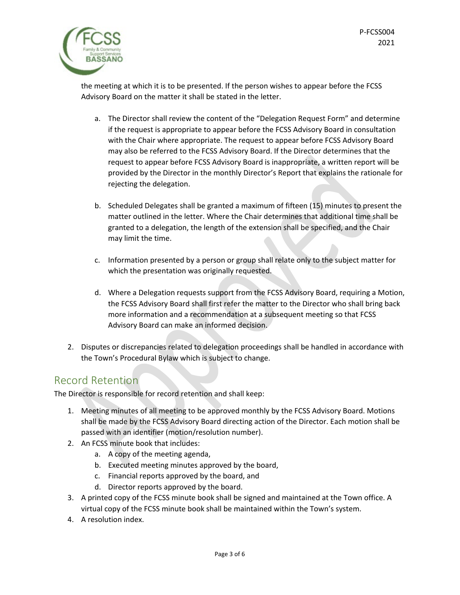

the meeting at which it is to be presented. If the person wishes to appear before the FCSS Advisory Board on the matter it shall be stated in the letter.

- a. The Director shall review the content of the "Delegation Request Form" and determine if the request is appropriate to appear before the FCSS Advisory Board in consultation with the Chair where appropriate. The request to appear before FCSS Advisory Board may also be referred to the FCSS Advisory Board. If the Director determines that the request to appear before FCSS Advisory Board is inappropriate, a written report will be provided by the Director in the monthly Director's Report that explains the rationale for rejecting the delegation.
- b. Scheduled Delegates shall be granted a maximum of fifteen (15) minutes to present the matter outlined in the letter. Where the Chair determines that additional time shall be granted to a delegation, the length of the extension shall be specified, and the Chair may limit the time.
- c. Information presented by a person or group shall relate only to the subject matter for which the presentation was originally requested.
- d. Where a Delegation requests support from the FCSS Advisory Board, requiring a Motion, the FCSS Advisory Board shall first refer the matter to the Director who shall bring back more information and a recommendation at a subsequent meeting so that FCSS Advisory Board can make an informed decision.
- 2. Disputes or discrepancies related to delegation proceedings shall be handled in accordance with the Town's Procedural Bylaw which is subject to change.

# Record Retention

The Director is responsible for record retention and shall keep:

- 1. Meeting minutes of all meeting to be approved monthly by the FCSS Advisory Board. Motions shall be made by the FCSS Advisory Board directing action of the Director. Each motion shall be passed with an identifier (motion/resolution number).
- 2. An FCSS minute book that includes:
	- a. A copy of the meeting agenda,
	- b. Executed meeting minutes approved by the board,
	- c. Financial reports approved by the board, and
	- d. Director reports approved by the board.
- 3. A printed copy of the FCSS minute book shall be signed and maintained at the Town office. A virtual copy of the FCSS minute book shall be maintained within the Town's system.
- 4. A resolution index.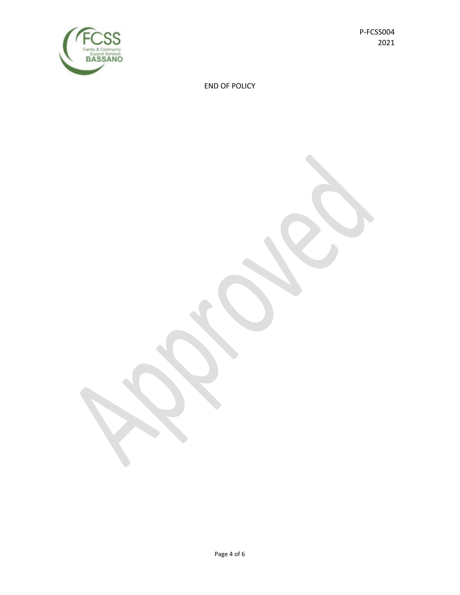

END OF POLICY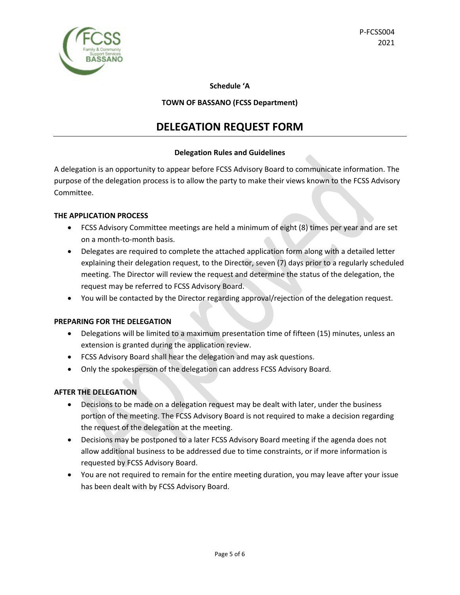

**Schedule 'A**

### **TOWN OF BASSANO (FCSS Department)**

## **DELEGATION REQUEST FORM**

### **Delegation Rules and Guidelines**

A delegation is an opportunity to appear before FCSS Advisory Board to communicate information. The purpose of the delegation process is to allow the party to make their views known to the FCSS Advisory Committee.

### **THE APPLICATION PROCESS**

- FCSS Advisory Committee meetings are held a minimum of eight (8) times per year and are set on a month-to-month basis.
- Delegates are required to complete the attached application form along with a detailed letter explaining their delegation request, to the Director, seven (7) days prior to a regularly scheduled meeting. The Director will review the request and determine the status of the delegation, the request may be referred to FCSS Advisory Board.
- You will be contacted by the Director regarding approval/rejection of the delegation request.

#### **PREPARING FOR THE DELEGATION**

- Delegations will be limited to a maximum presentation time of fifteen (15) minutes, unless an extension is granted during the application review.
- FCSS Advisory Board shall hear the delegation and may ask questions.
- Only the spokesperson of the delegation can address FCSS Advisory Board.

### **AFTER THE DELEGATION**

- Decisions to be made on a delegation request may be dealt with later, under the business portion of the meeting. The FCSS Advisory Board is not required to make a decision regarding the request of the delegation at the meeting.
- Decisions may be postponed to a later FCSS Advisory Board meeting if the agenda does not allow additional business to be addressed due to time constraints, or if more information is requested by FCSS Advisory Board.
- You are not required to remain for the entire meeting duration, you may leave after your issue has been dealt with by FCSS Advisory Board.